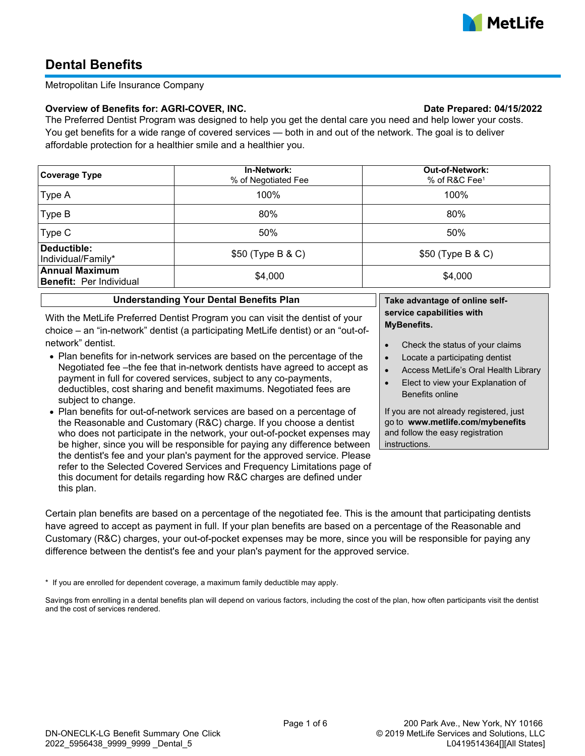

# **Dental Benefits**

# Metropolitan Life Insurance Company

# **Overview of Benefits for: AGRI-COVER, INC. Date Prepared: 04/15/2022**

The Preferred Dentist Program was designed to help you get the dental care you need and help lower your costs. You get benefits for a wide range of covered services — both in and out of the network. The goal is to deliver affordable protection for a healthier smile and a healthier you.

| <b>Coverage Type</b>                                    | In-Network:<br>% of Negotiated Fee | <b>Out-of-Network:</b><br>% of R&C Fee <sup>1</sup> |  |
|---------------------------------------------------------|------------------------------------|-----------------------------------------------------|--|
| Type A                                                  | 100%                               | 100%                                                |  |
| Type B                                                  | 80%                                | 80%                                                 |  |
| Type C                                                  | 50%                                | 50%                                                 |  |
| Deductible:<br>Individual/Family*                       | \$50 (Type B & C)                  | \$50 (Type B & C)                                   |  |
| <b>Annual Maximum</b><br><b>Benefit: Per Individual</b> | \$4,000                            | \$4,000                                             |  |

| With the MetLife Preferred Dentist Program you can visit the dentist of your      |
|-----------------------------------------------------------------------------------|
| choice – an "in-network" dentist (a participating MetLife dentist) or an "out-of- |
| network" dentist.                                                                 |

**Understanding Your Dental Benefits Plan**

- · Plan benefits for in-network services are based on the percentage of the Negotiated fee –the fee that in-network dentists have agreed to accept as payment in full for covered services, subject to any co-payments, deductibles, cost sharing and benefit maximums. Negotiated fees are subject to change.
- · Plan benefits for out-of-network services are based on a percentage of the Reasonable and Customary (R&C) charge. If you choose a dentist who does not participate in the network, your out-of-pocket expenses may be higher, since you will be responsible for paying any difference between the dentist's fee and your plan's payment for the approved service. Please refer to the Selected Covered Services and Frequency Limitations page of this document for details regarding how R&C charges are defined under this plan.

**Take advantage of online selfservice capabilities with MyBenefits.**

- Check the status of your claims
- Locate a participating dentist
- · Access MetLife's Oral Health Library
- Elect to view your Explanation of Benefits online

If you are not already registered, just go to **www.metlife.com/mybenefits** and follow the easy registration instructions.

Certain plan benefits are based on a percentage of the negotiated fee. This is the amount that participating dentists have agreed to accept as payment in full. If your plan benefits are based on a percentage of the Reasonable and Customary (R&C) charges, your out-of-pocket expenses may be more, since you will be responsible for paying any difference between the dentist's fee and your plan's payment for the approved service.

\* If you are enrolled for dependent coverage, a maximum family deductible may apply.

Savings from enrolling in a dental benefits plan will depend on various factors, including the cost of the plan, how often participants visit the dentist and the cost of services rendered.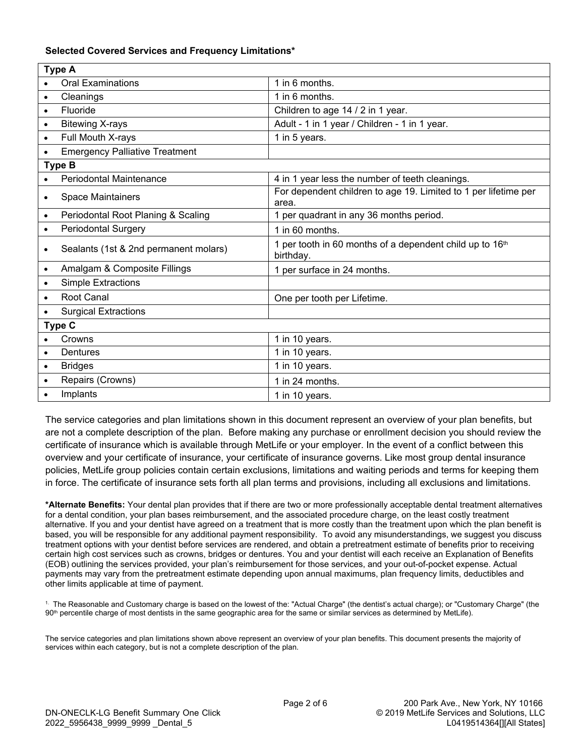# **Selected Covered Services and Frequency Limitations\***

| <b>Type A</b> |                                       |                                                                          |  |  |
|---------------|---------------------------------------|--------------------------------------------------------------------------|--|--|
|               | <b>Oral Examinations</b>              | 1 in 6 months.                                                           |  |  |
| $\bullet$     | Cleanings                             | 1 in 6 months.                                                           |  |  |
| $\bullet$     | Fluoride                              | Children to age 14 / 2 in 1 year.                                        |  |  |
| $\bullet$     | <b>Bitewing X-rays</b>                | Adult - 1 in 1 year / Children - 1 in 1 year.                            |  |  |
| $\bullet$     | Full Mouth X-rays                     | 1 in 5 years.                                                            |  |  |
| $\bullet$     | <b>Emergency Palliative Treatment</b> |                                                                          |  |  |
| <b>Type B</b> |                                       |                                                                          |  |  |
|               | <b>Periodontal Maintenance</b>        | 4 in 1 year less the number of teeth cleanings.                          |  |  |
| $\bullet$     | <b>Space Maintainers</b>              | For dependent children to age 19. Limited to 1 per lifetime per<br>area. |  |  |
| $\bullet$     | Periodontal Root Planing & Scaling    | 1 per quadrant in any 36 months period.                                  |  |  |
| $\bullet$     | <b>Periodontal Surgery</b>            | 1 in 60 months.                                                          |  |  |
| $\bullet$     | Sealants (1st & 2nd permanent molars) | 1 per tooth in 60 months of a dependent child up to 16th<br>birthday.    |  |  |
| $\bullet$     | Amalgam & Composite Fillings          | 1 per surface in 24 months.                                              |  |  |
| $\bullet$     | <b>Simple Extractions</b>             |                                                                          |  |  |
| $\bullet$     | <b>Root Canal</b>                     | One per tooth per Lifetime.                                              |  |  |
|               | <b>Surgical Extractions</b>           |                                                                          |  |  |
| <b>Type C</b> |                                       |                                                                          |  |  |
|               | Crowns                                | 1 in 10 years.                                                           |  |  |
| $\bullet$     | Dentures                              | 1 in 10 years.                                                           |  |  |
| $\bullet$     | <b>Bridges</b>                        | 1 in 10 years.                                                           |  |  |
| $\bullet$     | Repairs (Crowns)                      | 1 in 24 months.                                                          |  |  |
|               | Implants                              | 1 in 10 years.                                                           |  |  |

The service categories and plan limitations shown in this document represent an overview of your plan benefits, but are not a complete description of the plan. Before making any purchase or enrollment decision you should review the certificate of insurance which is available through MetLife or your employer. In the event of a conflict between this overview and your certificate of insurance, your certificate of insurance governs. Like most group dental insurance policies, MetLife group policies contain certain exclusions, limitations and waiting periods and terms for keeping them in force. The certificate of insurance sets forth all plan terms and provisions, including all exclusions and limitations.

**\*Alternate Benefits:** Your dental plan provides that if there are two or more professionally acceptable dental treatment alternatives for a dental condition, your plan bases reimbursement, and the associated procedure charge, on the least costly treatment alternative. If you and your dentist have agreed on a treatment that is more costly than the treatment upon which the plan benefit is based, you will be responsible for any additional payment responsibility. To avoid any misunderstandings, we suggest you discuss treatment options with your dentist before services are rendered, and obtain a pretreatment estimate of benefits prior to receiving certain high cost services such as crowns, bridges or dentures. You and your dentist will each receive an Explanation of Benefits (EOB) outlining the services provided, your plan's reimbursement for those services, and your out-of-pocket expense. Actual payments may vary from the pretreatment estimate depending upon annual maximums, plan frequency limits, deductibles and other limits applicable at time of payment.

1. The Reasonable and Customary charge is based on the lowest of the: "Actual Charge" (the dentist's actual charge); or "Customary Charge" (the 90th percentile charge of most dentists in the same geographic area for the same or similar services as determined by MetLife).

The service categories and plan limitations shown above represent an overview of your plan benefits. This document presents the majority of services within each category, but is not a complete description of the plan.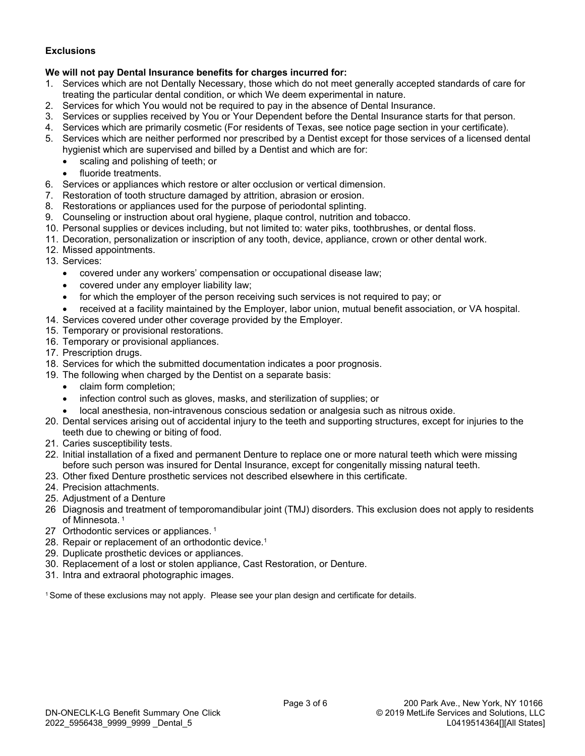# **Exclusions**

# **We will not pay Dental Insurance benefits for charges incurred for:**

- 1. Services which are not Dentally Necessary, those which do not meet generally accepted standards of care for treating the particular dental condition, or which We deem experimental in nature.
- 2. Services for which You would not be required to pay in the absence of Dental Insurance.
- 3. Services or supplies received by You or Your Dependent before the Dental Insurance starts for that person.
- 4. Services which are primarily cosmetic (For residents of Texas, see notice page section in your certificate).
- 5. Services which are neither performed nor prescribed by a Dentist except for those services of a licensed dental hygienist which are supervised and billed by a Dentist and which are for:
	- · scaling and polishing of teeth; or
	- fluoride treatments.
- 6. Services or appliances which restore or alter occlusion or vertical dimension.
- 7. Restoration of tooth structure damaged by attrition, abrasion or erosion.
- 8. Restorations or appliances used for the purpose of periodontal splinting.
- 9. Counseling or instruction about oral hygiene, plaque control, nutrition and tobacco.
- 10. Personal supplies or devices including, but not limited to: water piks, toothbrushes, or dental floss.
- 11. Decoration, personalization or inscription of any tooth, device, appliance, crown or other dental work.
- 12. Missed appointments.
- 13. Services:
	- · covered under any workers' compensation or occupational disease law;
	- · covered under any employer liability law;
	- for which the employer of the person receiving such services is not required to pay; or
	- received at a facility maintained by the Employer, labor union, mutual benefit association, or VA hospital.
- 14. Services covered under other coverage provided by the Employer.
- 15. Temporary or provisional restorations.
- 16. Temporary or provisional appliances.
- 17. Prescription drugs.
- 18. Services for which the submitted documentation indicates a poor prognosis.
- 19. The following when charged by the Dentist on a separate basis:
	- · claim form completion;
	- infection control such as gloves, masks, and sterilization of supplies; or
	- · local anesthesia, non-intravenous conscious sedation or analgesia such as nitrous oxide.
- 20. Dental services arising out of accidental injury to the teeth and supporting structures, except for injuries to the teeth due to chewing or biting of food.
- 21. Caries susceptibility tests.
- 22. Initial installation of a fixed and permanent Denture to replace one or more natural teeth which were missing before such person was insured for Dental Insurance, except for congenitally missing natural teeth.
- 23. Other fixed Denture prosthetic services not described elsewhere in this certificate.
- 24. Precision attachments.
- 25. Adjustment of a Denture
- 26 Diagnosis and treatment of temporomandibular joint (TMJ) disorders. This exclusion does not apply to residents of Minnesota.<sup>1</sup>
- 27 Orthodontic services or appliances.<sup>1</sup>
- 28. Repair or replacement of an orthodontic device.<sup>1</sup>
- 29. Duplicate prosthetic devices or appliances.
- 30. Replacement of a lost or stolen appliance, Cast Restoration, or Denture.
- 31. Intra and extraoral photographic images.

1Some of these exclusions may not apply. Please see your plan design and certificate for details.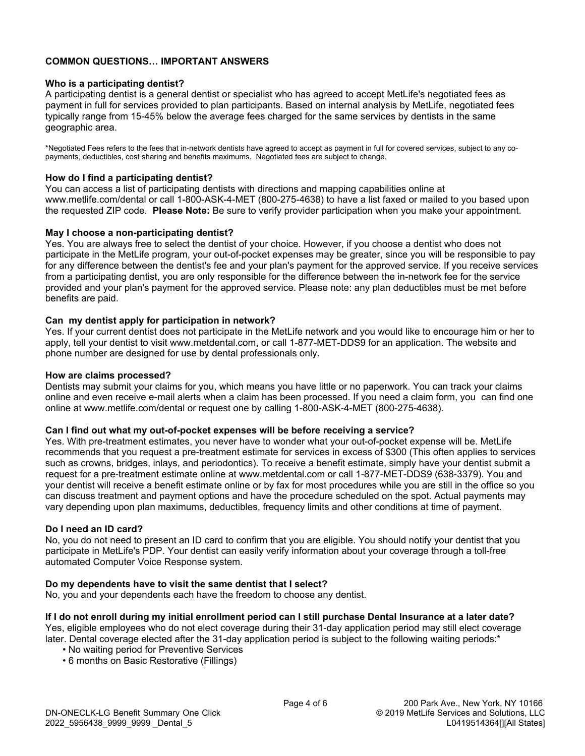# **COMMON QUESTIONS… IMPORTANT ANSWERS**

### **Who is a participating dentist?**

A participating dentist is a general dentist or specialist who has agreed to accept MetLife's negotiated fees as payment in full for services provided to plan participants. Based on internal analysis by MetLife, negotiated fees typically range from 15-45% below the average fees charged for the same services by dentists in the same geographic area.

\*Negotiated Fees refers to the fees that in-network dentists have agreed to accept as payment in full for covered services, subject to any copayments, deductibles, cost sharing and benefits maximums. Negotiated fees are subject to change.

### **How do I find a participating dentist?**

You can access a list of participating dentists with directions and mapping capabilities online at www.metlife.com/dental or call 1-800-ASK-4-MET (800-275-4638) to have a list faxed or mailed to you based upon the requested ZIP code. **Please Note:** Be sure to verify provider participation when you make your appointment.

# **May I choose a non-participating dentist?**

Yes. You are always free to select the dentist of your choice. However, if you choose a dentist who does not participate in the MetLife program, your out-of-pocket expenses may be greater, since you will be responsible to pay for any difference between the dentist's fee and your plan's payment for the approved service. If you receive services from a participating dentist, you are only responsible for the difference between the in-network fee for the service provided and your plan's payment for the approved service. Please note: any plan deductibles must be met before benefits are paid.

# **Can my dentist apply for participation in network?**

Yes. If your current dentist does not participate in the MetLife network and you would like to encourage him or her to apply, tell your dentist to visit www.metdental.com, or call 1-877-MET-DDS9 for an application. The website and phone number are designed for use by dental professionals only.

#### **How are claims processed?**

Dentists may submit your claims for you, which means you have little or no paperwork. You can track your claims online and even receive e-mail alerts when a claim has been processed. If you need a claim form, you can find one online at www.metlife.com/dental or request one by calling 1-800-ASK-4-MET (800-275-4638).

#### **Can I find out what my out-of-pocket expenses will be before receiving a service?**

Yes. With pre-treatment estimates, you never have to wonder what your out-of-pocket expense will be. MetLife recommends that you request a pre-treatment estimate for services in excess of \$300 (This often applies to services such as crowns, bridges, inlays, and periodontics). To receive a benefit estimate, simply have your dentist submit a request for a pre-treatment estimate online at www.metdental.com or call 1-877-MET-DDS9 (638-3379). You and your dentist will receive a benefit estimate online or by fax for most procedures while you are still in the office so you can discuss treatment and payment options and have the procedure scheduled on the spot. Actual payments may vary depending upon plan maximums, deductibles, frequency limits and other conditions at time of payment.

#### **Do I need an ID card?**

No, you do not need to present an ID card to confirm that you are eligible. You should notify your dentist that you participate in MetLife's PDP. Your dentist can easily verify information about your coverage through a toll-free automated Computer Voice Response system.

#### **Do my dependents have to visit the same dentist that I select?**

No, you and your dependents each have the freedom to choose any dentist.

**If I do not enroll during my initial enrollment period can I still purchase Dental Insurance at a later date?** Yes, eligible employees who do not elect coverage during their 31-day application period may still elect coverage later. Dental coverage elected after the 31-day application period is subject to the following waiting periods:\*

- No waiting period for Preventive Services
- 6 months on Basic Restorative (Fillings)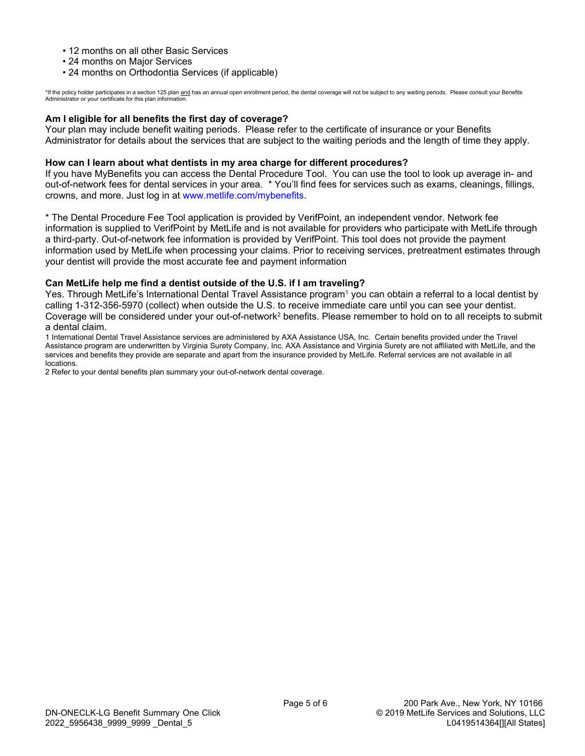- 12 months on all other Basic Services
- 24 months on Major Services
- 24 months on Orthodontia Services (if applicable)

\*If the policy holder participates in a section 125 plan <u>and</u> has an annual open enrollment period, the dental coverage will not be subject to any waiting periods. Please consult your Benefits<br>Administrator or your certif

# **Am I eligible for all benefits the first day of coverage?**

Your plan may include benefit waiting periods. Please refer to the certificate of insurance or your Benefits Administrator for details about the services that are subject to the waiting periods and the length of time they apply.

#### **How can I learn about what dentists in my area charge for different procedures?**

If you have MyBenefits you can access the Dental Procedure Tool. You can use the tool to look up average in- and out-of-network fees for dental services in your area. \* You'll find fees for services such as exams, cleanings, fillings, crowns, and more. Just log in at [www.metlife.com/mybenefits](http://www.metlife.com/mybenefits).

\* The Dental Procedure Fee Tool application is provided by VerifPoint, an independent vendor. Network fee information is supplied to VerifPoint by MetLife and is not available for providers who participate with MetLife through a third-party. Out-of-network fee information is provided by VerifPoint. This tool does not provide the payment information used by MetLife when processing your claims. Prior to receiving services, pretreatment estimates through your dentist will provide the most accurate fee and payment information

#### **Can MetLife help me find a dentist outside of the U.S. if I am traveling?**

Yes. Through MetLife's International Dental Travel Assistance program<sup>1</sup> you can obtain a referral to a local dentist by calling 1-312-356-5970 (collect) when outside the U.S. to receive immediate care until you can see your dentist. Coverage will be considered under your out-of-network<sup>2</sup> benefits. Please remember to hold on to all receipts to submit a dental claim.

1 International Dental Travel Assistance services are administered by AXA Assistance USA, Inc. Certain benefits provided under the Travel Assistance program are underwritten by Virginia Surety Company, Inc. AXA Assistance and Virginia Surety are not affiliated with MetLife, and the services and benefits they provide are separate and apart from the insurance provided by MetLife. Referral services are not available in all locations.

2 Refer to your dental benefits plan summary your out-of-network dental coverage.